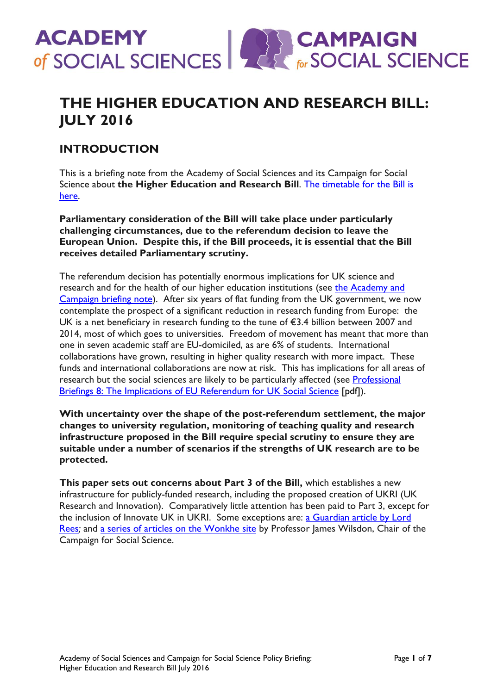

# **THE HIGHER EDUCATION AND RESEARCH BILL: JULY 2016**

## **INTRODUCTION**

This is a briefing note from the Academy of Social Sciences and its Campaign for Social Science about **the Higher Education and Research Bill**. [The timetable for the Bill is](http://services.parliament.uk/bills/2016-17/highereducationandresearch.html)  [here.](http://services.parliament.uk/bills/2016-17/highereducationandresearch.html)

**Parliamentary consideration of the Bill will take place under particularly challenging circumstances, due to the referendum decision to leave the European Union. Despite this, if the Bill proceeds, it is essential that the Bill receives detailed Parliamentary scrutiny.** 

The referendum decision has potentially enormous implications for UK science and research and for the health of our higher education institutions (see the Academy and [Campaign briefing note\)](https://www.acss.org.uk/wp-content/uploads/2016/06/EU-Referendum-%E2%80%93-Leave-%E2%80%93-What-next-for-UK-social-science-24-June-2016.pdf). After six years of flat funding from the UK government, we now contemplate the prospect of a significant reduction in research funding from Europe: the UK is a net beneficiary in research funding to the tune of €3.4 billion between 2007 and 2014, most of which goes to universities. Freedom of movement has meant that more than one in seven academic staff are EU-domiciled, as are 6% of students. International collaborations have grown, resulting in higher quality research with more impact. These funds and international collaborations are now at risk. This has implications for all areas of research but the social sciences are likely to be particularly affected (see Professional [Briefings 8: The Implications](http://www.acss.org.uk/wp-content/uploads/2016/06/Professional-Briefings-8-Implications-of-EU-Referendum-for-UK-Social-Science.pdf) of EU Referendum for UK Social Science [pdf]).

**With uncertainty over the shape of the post-referendum settlement, the major changes to university regulation, monitoring of teaching quality and research infrastructure proposed in the Bill require special scrutiny to ensure they are suitable under a number of scenarios if the strengths of UK research are to be protected.** 

**This paper sets out concerns about Part 3 of the Bill,** which establishes a new infrastructure for publicly-funded research, including the proposed creation of UKRI (UK Research and Innovation). Comparatively little attention has been paid to Part 3, except for the inclusion of Innovate UK in UKRI. Some exceptions are: a Guardian article by Lord [Rees](https://www.theguardian.com/science/political-science/2016/jun/15/the-proposed-reforms-to-uk-research-are-needlessly-drastic-heres-why)*;* and a series of [articles on the Wonkhe site](http://wonkhe.com/staff/james-wilsdon/) by Professor James Wilsdon, Chair of the Campaign for Social Science.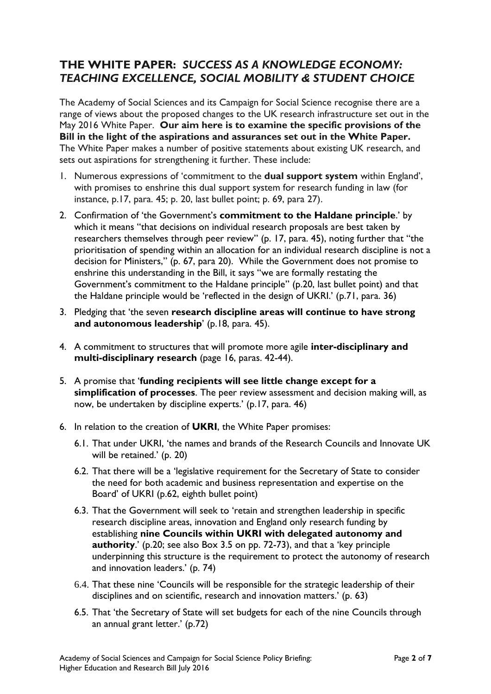### **THE WHITE PAPER:** *SUCCESS AS A KNOWLEDGE ECONOMY: TEACHING EXCELLENCE, SOCIAL MOBILITY & STUDENT CHOICE*

The Academy of Social Sciences and its Campaign for Social Science recognise there are a range of views about the proposed changes to the UK research infrastructure set out in the May 2016 White Paper. **Our aim here is to examine the specific provisions of the Bill in the light of the aspirations and assurances set out in the White Paper.** The White Paper makes a number of positive statements about existing UK research, and sets out aspirations for strengthening it further. These include:

- 1. Numerous expressions of 'commitment to the **dual support system** within England', with promises to enshrine this dual support system for research funding in law (for instance, p.17, para. 45; p. 20, last bullet point; p. 69, para 27).
- 2. Confirmation of 'the Government's **commitment to the Haldane principle**.' by which it means "that decisions on individual research proposals are best taken by researchers themselves through peer review" (p. 17, para. 45), noting further that "the prioritisation of spending within an allocation for an individual research discipline is not a decision for Ministers," (p. 67, para 20). While the Government does not promise to enshrine this understanding in the Bill, it says "we are formally restating the Government's commitment to the Haldane principle" (p.20, last bullet point) and that the Haldane principle would be 'reflected in the design of UKRI.' (p.71, para. 36)
- 3. Pledging that 'the seven **research discipline areas will continue to have strong and autonomous leadership**' (p.18, para. 45).
- 4. A commitment to structures that will promote more agile **inter-disciplinary and multi-disciplinary research** (page 16, paras. 42-44).
- 5. A promise that '**funding recipients will see little change except for a simplification of processes**. The peer review assessment and decision making will, as now, be undertaken by discipline experts.' (p.17, para. 46)
- 6. In relation to the creation of **UKRI**, the White Paper promises:
	- 6.1. That under UKRI, 'the names and brands of the Research Councils and Innovate UK will be retained.' (p. 20)
	- 6.2. That there will be a 'legislative requirement for the Secretary of State to consider the need for both academic and business representation and expertise on the Board' of UKRI (p.62, eighth bullet point)
	- 6.3. That the Government will seek to 'retain and strengthen leadership in specific research discipline areas, innovation and England only research funding by establishing **nine Councils within UKRI with delegated autonomy and authority**.' (p.20; see also Box 3.5 on pp. 72-73), and that a 'key principle underpinning this structure is the requirement to protect the autonomy of research and innovation leaders.' (p. 74)
	- 6.4. That these nine 'Councils will be responsible for the strategic leadership of their disciplines and on scientific, research and innovation matters.' (p. 63)
	- 6.5. That 'the Secretary of State will set budgets for each of the nine Councils through an annual grant letter.' (p.72)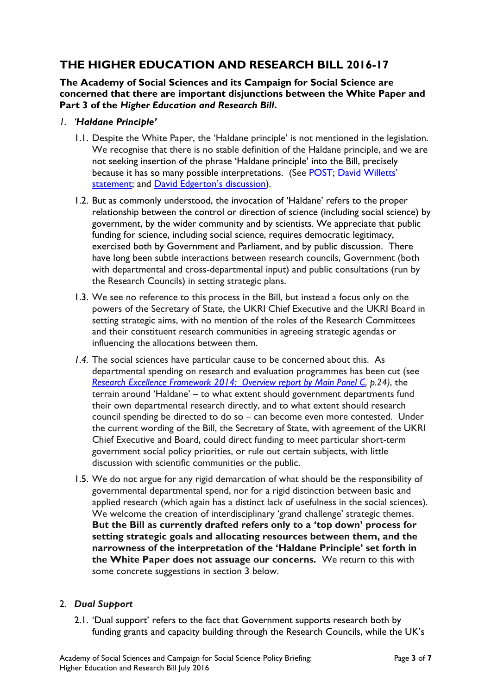# **THE HIGHER EDUCATION AND RESEARCH BILL 2016-17**

**The Academy of Social Sciences and its Campaign for Social Science are concerned that there are important disjunctions between the White Paper and Part 3 of the** *Higher Education and Research Bill***.** 

- *1. 'Haldane Principle'*
	- 1.1. Despite the White Paper, the 'Haldane principle' is not mentioned in the legislation. We recognise that there is no stable definition of the Haldane principle, and we are not seeking insertion of the phrase 'Haldane principle' into the Bill, precisely because it has so many possible interpretations. (See [POST;](http://www.parliament.uk/documents/post/pn099.pdf) [David Willetts](http://www.publications.parliament.uk/pa/cm201012/cmhansrd/cm101220/wmstext/101220m0001.htm)' [statement;](http://www.publications.parliament.uk/pa/cm201012/cmhansrd/cm101220/wmstext/101220m0001.htm) and [David Edgerton](http://www.publications.parliament.uk/pa/cm200809/cmselect/cmdius/168/16807.htm)'s discussion).
	- 1.2. But as commonly understood, the invocation of 'Haldane' refers to the proper relationship between the control or direction of science (including social science) by government, by the wider community and by scientists. We appreciate that public funding for science, including social science, requires democratic legitimacy, exercised both by Government and Parliament, and by public discussion. There have long been subtle interactions between research councils, Government (both with departmental and cross-departmental input) and public consultations (run by the Research Councils) in setting strategic plans.
	- 1.3. We see no reference to this process in the Bill, but instead a focus only on the powers of the Secretary of State, the UKRI Chief Executive and the UKRI Board in setting strategic aims, with no mention of the roles of the Research Committees and their constituent research communities in agreeing strategic agendas or influencing the allocations between them.
	- *1.4.* The social sciences have particular cause to be concerned about this. As departmental spending on research and evaluation programmes has been cut (see *[Research Excellence Framework 2014: Overview report by Main Panel C,](http://www.ref.ac.uk/media/ref/content/expanel/member/Main%20Panel%20C%20overview%20report.pdf) p.24)*, the terrain around 'Haldane' – to what extent should government departments fund their own departmental research directly, and to what extent should research council spending be directed to do so – can become even more contested. Under the current wording of the Bill, the Secretary of State, with agreement of the UKRI Chief Executive and Board, could direct funding to meet particular short-term government social policy priorities, or rule out certain subjects, with little discussion with scientific communities or the public.
	- 1.5. We do not argue for any rigid demarcation of what should be the responsibility of governmental departmental spend, nor for a rigid distinction between basic and applied research (which again has a distinct lack of usefulness in the social sciences). We welcome the creation of interdisciplinary 'grand challenge' strategic themes. **But the Bill as currently drafted refers only to a 'top down' process for setting strategic goals and allocating resources between them, and the narrowness of the interpretation of the 'Haldane Principle' set forth in the White Paper does not assuage our concerns.** We return to this with some concrete suggestions in section 3 below.

#### 2. *Dual Support*

2.1. 'Dual support' refers to the fact that Government supports research both by funding grants and capacity building through the Research Councils, while the UK's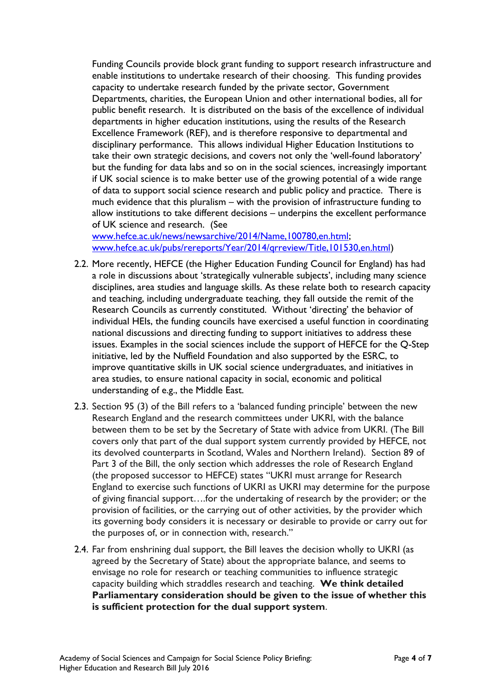Funding Councils provide block grant funding to support research infrastructure and enable institutions to undertake research of their choosing. This funding provides capacity to undertake research funded by the private sector, Government Departments, charities, the European Union and other international bodies, all for public benefit research. It is distributed on the basis of the excellence of individual departments in higher education institutions, using the results of the Research Excellence Framework (REF), and is therefore responsive to departmental and disciplinary performance. This allows individual Higher Education Institutions to take their own strategic decisions, and covers not only the 'well-found laboratory' but the funding for data labs and so on in the social sciences, increasingly important if UK social science is to make better use of the growing potential of a wide range of data to support social science research and public policy and practice. There is much evidence that this pluralism – with the provision of infrastructure funding to allow institutions to take different decisions – underpins the excellent performance of UK science and research. (See

[www.hefce.ac.uk/news/newsarchive/2014/Name,100780,en.html;](http://www.hefce.ac.uk/news/newsarchive/2014/Name,100780,en.html) [www.hefce.ac.uk/pubs/rereports/Year/2014/qrreview/Title,101530,en.html\)](http://www.hefce.ac.uk/pubs/rereports/Year/2014/qrreview/Title,101530,en.html)

- 2.2. More recently, HEFCE (the Higher Education Funding Council for England) has had a role in discussions about 'strategically vulnerable subjects', including many science disciplines, area studies and language skills. As these relate both to research capacity and teaching, including undergraduate teaching, they fall outside the remit of the Research Councils as currently constituted. Without 'directing' the behavior of individual HEIs, the funding councils have exercised a useful function in coordinating national discussions and directing funding to support initiatives to address these issues. Examples in the social sciences include the support of HEFCE for the Q-Step initiative, led by the Nuffield Foundation and also supported by the ESRC, to improve quantitative skills in UK social science undergraduates, and initiatives in area studies, to ensure national capacity in social, economic and political understanding of e.g., the Middle East.
- 2.3. Section 95 (3) of the Bill refers to a 'balanced funding principle' between the new Research England and the research committees under UKRI, with the balance between them to be set by the Secretary of State with advice from UKRI. (The Bill covers only that part of the dual support system currently provided by HEFCE, not its devolved counterparts in Scotland, Wales and Northern Ireland). Section 89 of Part 3 of the Bill, the only section which addresses the role of Research England (the proposed successor to HEFCE) states "UKRI must arrange for Research England to exercise such functions of UKRI as UKRI may determine for the purpose of giving financial support….for the undertaking of research by the provider; or the provision of facilities, or the carrying out of other activities, by the provider which its governing body considers it is necessary or desirable to provide or carry out for the purposes of, or in connection with, research."
- 2.4. Far from enshrining dual support, the Bill leaves the decision wholly to UKRI (as agreed by the Secretary of State) about the appropriate balance, and seems to envisage no role for research or teaching communities to influence strategic capacity building which straddles research and teaching. **We think detailed Parliamentary consideration should be given to the issue of whether this is sufficient protection for the dual support system**.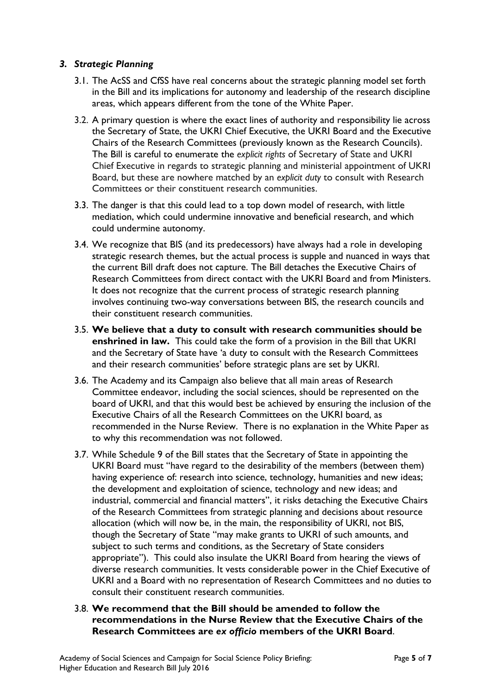#### *3. Strategic Planning*

- 3.1. The AcSS and CfSS have real concerns about the strategic planning model set forth in the Bill and its implications for autonomy and leadership of the research discipline areas, which appears different from the tone of the White Paper.
- 3.2. A primary question is where the exact lines of authority and responsibility lie across the Secretary of State, the UKRI Chief Executive, the UKRI Board and the Executive Chairs of the Research Committees (previously known as the Research Councils). The Bill is careful to enumerate the *explicit rights* of Secretary of State and UKRI Chief Executive in regards to strategic planning and ministerial appointment of UKRI Board, but these are nowhere matched by an *explicit duty* to consult with Research Committees or their constituent research communities.
- 3.3. The danger is that this could lead to a top down model of research, with little mediation, which could undermine innovative and beneficial research, and which could undermine autonomy.
- 3.4. We recognize that BIS (and its predecessors) have always had a role in developing strategic research themes, but the actual process is supple and nuanced in ways that the current Bill draft does not capture. The Bill detaches the Executive Chairs of Research Committees from direct contact with the UKRI Board and from Ministers. It does not recognize that the current process of strategic research planning involves continuing two-way conversations between BIS, the research councils and their constituent research communities.
- 3.5. **We believe that a duty to consult with research communities should be enshrined in law.** This could take the form of a provision in the Bill that UKRI and the Secretary of State have 'a duty to consult with the Research Committees and their research communities' before strategic plans are set by UKRI.
- 3.6. The Academy and its Campaign also believe that all main areas of Research Committee endeavor, including the social sciences, should be represented on the board of UKRI, and that this would best be achieved by ensuring the inclusion of the Executive Chairs of all the Research Committees on the UKRI board, as recommended in the Nurse Review. There is no explanation in the White Paper as to why this recommendation was not followed.
- 3.7. While Schedule 9 of the Bill states that the Secretary of State in appointing the UKRI Board must "have regard to the desirability of the members (between them) having experience of: research into science, technology, humanities and new ideas; the development and exploitation of science, technology and new ideas; and industrial, commercial and financial matters", it risks detaching the Executive Chairs of the Research Committees from strategic planning and decisions about resource allocation (which will now be, in the main, the responsibility of UKRI, not BIS, though the Secretary of State "may make grants to UKRI of such amounts, and subject to such terms and conditions, as the Secretary of State considers appropriate"). This could also insulate the UKRI Board from hearing the views of diverse research communities. It vests considerable power in the Chief Executive of UKRI and a Board with no representation of Research Committees and no duties to consult their constituent research communities.
- 3.8. **We recommend that the Bill should be amended to follow the recommendations in the Nurse Review that the Executive Chairs of the Research Committees are** *ex officio* **members of the UKRI Board**.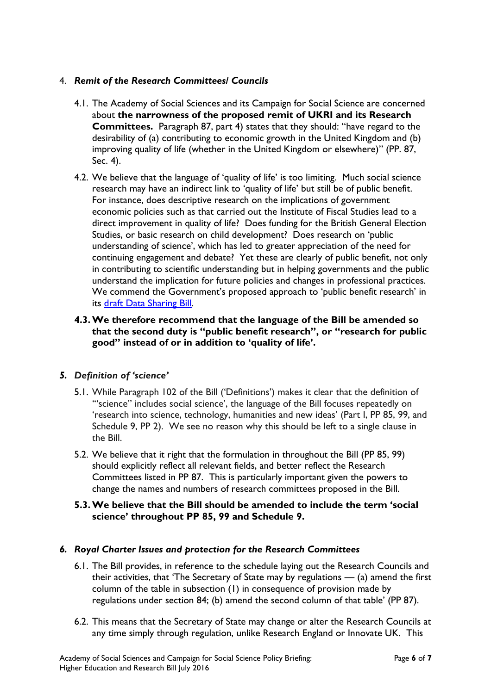### 4. *Remit of the Research Committees/ Councils*

- 4.1. The Academy of Social Sciences and its Campaign for Social Science are concerned about **the narrowness of the proposed remit of UKRI and its Research Committees.** Paragraph 87, part 4) states that they should: "have regard to the desirability of (a) contributing to economic growth in the United Kingdom and (b) improving quality of life (whether in the United Kingdom or elsewhere)" (PP. 87, Sec. 4).
- 4.2. We believe that the language of 'quality of life' is too limiting. Much social science research may have an indirect link to 'quality of life' but still be of public benefit. For instance, does descriptive research on the implications of government economic policies such as that carried out the Institute of Fiscal Studies lead to a direct improvement in quality of life? Does funding for the British General Election Studies, or basic research on child development? Does research on 'public understanding of science', which has led to greater appreciation of the need for continuing engagement and debate? Yet these are clearly of public benefit, not only in contributing to scientific understanding but in helping governments and the public understand the implication for future policies and changes in professional practices. We commend the Government's proposed approach to 'public benefit research' in its [draft Data Sharing Bill.](https://www.gov.uk/government/uploads/system/uploads/attachment_data/file/503905/29-02-16_Data_Legislation_Proposals_-_Con_Doc_-_final__3_.pdf)
- **4.3.We therefore recommend that the language of the Bill be amended so that the second duty is "public benefit research", or "research for public good" instead of or in addition to 'quality of life'.**

### *5. Definition of 'science'*

- 5.1. While Paragraph 102 of the Bill ('Definitions') makes it clear that the definition of '"science" includes social science', the language of the Bill focuses repeatedly on 'research into science, technology, humanities and new ideas' (Part I, PP 85, 99, and Schedule 9, PP 2). We see no reason why this should be left to a single clause in the Bill.
- 5.2. We believe that it right that the formulation in throughout the Bill (PP 85, 99) should explicitly reflect all relevant fields, and better reflect the Research Committees listed in PP 87. This is particularly important given the powers to change the names and numbers of research committees proposed in the Bill.
- **5.3.We believe that the Bill should be amended to include the term 'social science' throughout PP 85, 99 and Schedule 9.**

#### *6. Royal Charter Issues and protection for the Research Committees*

- 6.1. The Bill provides, in reference to the schedule laying out the Research Councils and their activities, that 'The Secretary of State may by regulations — (a) amend the first column of the table in subsection (1) in consequence of provision made by regulations under section 84; (b) amend the second column of that table' (PP 87).
- 6.2. This means that the Secretary of State may change or alter the Research Councils at any time simply through regulation, unlike Research England or Innovate UK. This